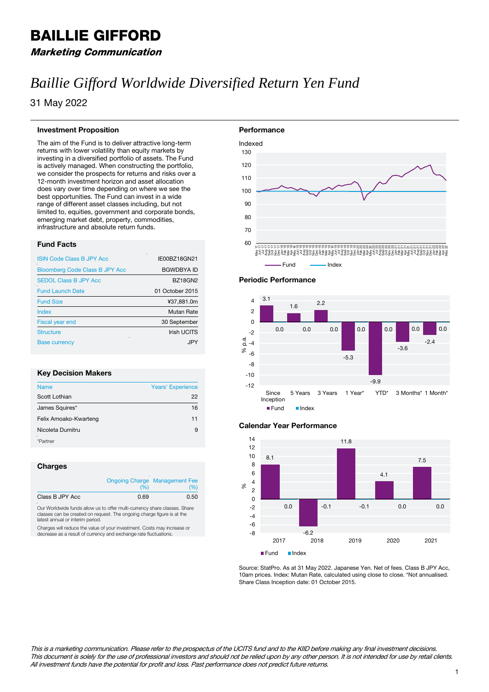## BAILLIE GIFFORD

### Marketing Communication

# *Baillie Gifford Worldwide Diversified Return Yen Fund*

31 May 2022

#### **Investment Proposition**

The aim of the Fund is to deliver attractive long-term returns with lower volatility than equity markets by investing in a diversified portfolio of assets. The Fund is actively managed. When constructing the portfolio, we consider the prospects for returns and risks over a 12-month investment horizon and asset allocation does vary over time depending on where we see the best opportunities. The Fund can invest in a wide range of different asset classes including, but not limited to, equities, government and corporate bonds, emerging market debt, property, commodities, infrastructure and absolute return funds.

#### **Fund Facts**

| <b>ISIN Code Class B JPY Acc</b>      | IE00BZ18GN21       |
|---------------------------------------|--------------------|
| <b>Bloomberg Code Class B JPY Acc</b> | <b>BGWDBYA ID</b>  |
| <b>SEDOL Class B JPY Acc</b>          | <b>BZ18GN2</b>     |
| <b>Fund Launch Date</b>               | 01 October 2015    |
| <b>Fund Size</b>                      | ¥37,881.0m         |
| Index                                 | <b>Mutan Rate</b>  |
| <b>Fiscal year end</b>                | 30 September       |
| <b>Structure</b>                      | <b>Irish UCITS</b> |
| <b>Base currency</b>                  | .IPY               |
|                                       |                    |

#### **Key Decision Makers**

| <b>Name</b>           | <b>Years' Experience</b> |
|-----------------------|--------------------------|
| Scott Lothian         | 22                       |
| James Squires*        | 16                       |
| Felix Amoako-Kwarteng | 11                       |
| Nicoleta Dumitru      | 9                        |
| *Partner              |                          |

#### **Charges**

|                       | (%)  | <b>Ongoing Charge Management Fee</b><br>(%) |
|-----------------------|------|---------------------------------------------|
| Class B JPY Acc<br>л. | 0.69 | 0.50                                        |

Our Worldwide funds allow us to offer multi-currency share classes. Share classes can be created on request. The ongoing charge figure is at the latest annual or interim period.

Charges will reduce the value of your investment. Costs may increase or decrease as a result of currency and exchange rate fluctuations.





#### **Calendar Year Performance**



Source: StatPro. As at 31 May 2022. Japanese Yen. Net of fees. Class B JPY Acc, 10am prices. Index: Mutan Rate, calculated using close to close. \*Not annualised. Share Class Inception date: 01 October 2015.

This is a marketing communication. Please refer to the prospectus of the UCITS fund and to the KIID before making any final investment decisions. This document is solely for the use of professional investors and should not be relied upon by any other person. It is not intended for use by retail clients. All investment funds have the potential for profit and loss. Past performance does not predict future returns.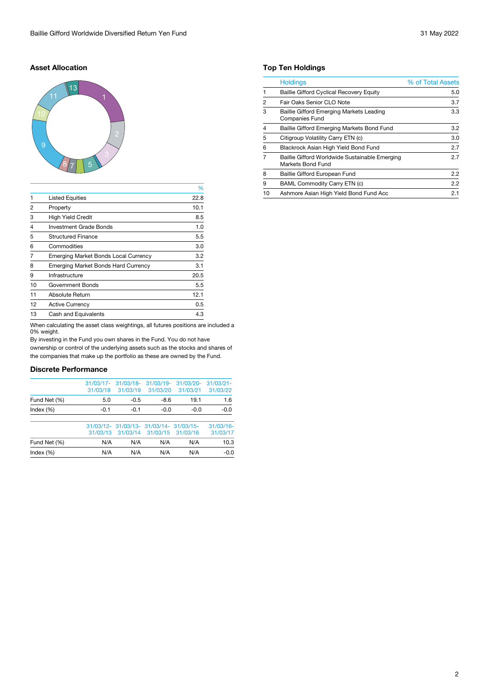#### **Asset Allocation**



|                |                                             | %    |
|----------------|---------------------------------------------|------|
| $\mathbf{1}$   | <b>Listed Equities</b>                      | 22.8 |
| $\overline{2}$ | Property                                    | 10.1 |
| 3              | <b>High Yield Credit</b>                    | 8.5  |
| $\overline{4}$ | <b>Investment Grade Bonds</b>               | 1.0  |
| 5              | <b>Structured Finance</b>                   | 5.5  |
| 6              | Commodities                                 | 3.0  |
| 7              | <b>Emerging Market Bonds Local Currency</b> | 3.2  |
| 8              | <b>Emerging Market Bonds Hard Currency</b>  | 3.1  |
| 9              | Infrastructure                              | 20.5 |
| 10             | <b>Government Bonds</b>                     | 5.5  |
| 11             | <b>Absolute Return</b>                      | 12.1 |
| 12             | <b>Active Currency</b>                      | 0.5  |
| 13             | <b>Cash and Equivalents</b>                 | 4.3  |
|                |                                             |      |

When calculating the asset class weightings, all futures positions are included a 0% weight.

By investing in the Fund you own shares in the Fund. You do not have ownership or control of the underlying assets such as the stocks and shares of the companies that make up the portfolio as these are owned by the Fund.

#### **Discrete Performance**

| Index $(\%)$ | N/A                      | N/A                      | N/A                                     | N/A                      | $-0.0$                   |
|--------------|--------------------------|--------------------------|-----------------------------------------|--------------------------|--------------------------|
| Fund Net (%) | N/A                      | N/A                      | N/A                                     | N/A                      | 10.3                     |
|              | 31/03/13                 | 31/03/14                 | 31/03/15                                | 31/03/16                 | 31/03/17                 |
|              |                          |                          | 31/03/12- 31/03/13- 31/03/14- 31/03/15- |                          | 31/03/16                 |
| Index $(\%)$ | $-0.1$                   | $-0.1$                   | $-0.0$                                  | $-0.0$                   | $-0.0$                   |
| Fund Net (%) | 5.0                      | $-0.5$                   | $-8.6$                                  | 19.1                     | 1.6                      |
|              | $31/03/17$ -<br>31/03/18 | $31/03/18$ -<br>31/03/19 | $31/03/19 -$<br>31/03/20                | $31/03/20 -$<br>31/03/21 | $31/03/21 -$<br>31/03/22 |
|              |                          |                          |                                         |                          |                          |

#### **Top Ten Holdings**

|                | <b>Holdings</b>                                                          | % of Total Assets |
|----------------|--------------------------------------------------------------------------|-------------------|
|                | <b>Baillie Gifford Cyclical Recovery Equity</b>                          | 5.0               |
| 2              | Fair Oaks Senior CLO Note                                                | 3.7               |
| 3              | <b>Baillie Gifford Emerging Markets Leading</b><br><b>Companies Fund</b> | 3.3               |
| $\overline{4}$ | Baillie Gifford Emerging Markets Bond Fund                               | 3.2               |
| 5              | Citigroup Volatility Carry ETN (c)                                       | 3.0               |
| 6              | Blackrock Asian High Yield Bond Fund                                     | 2.7               |
| 7              | Baillie Gifford Worldwide Sustainable Emerging<br>Markets Bond Fund      | 2.7               |
| 8              | <b>Baillie Gifford European Fund</b>                                     | 2.2               |
| 9              | <b>BAML Commodity Carry ETN (c)</b>                                      | 2.2               |
| 10             | Ashmore Asian High Yield Bond Fund Acc                                   | 2.1               |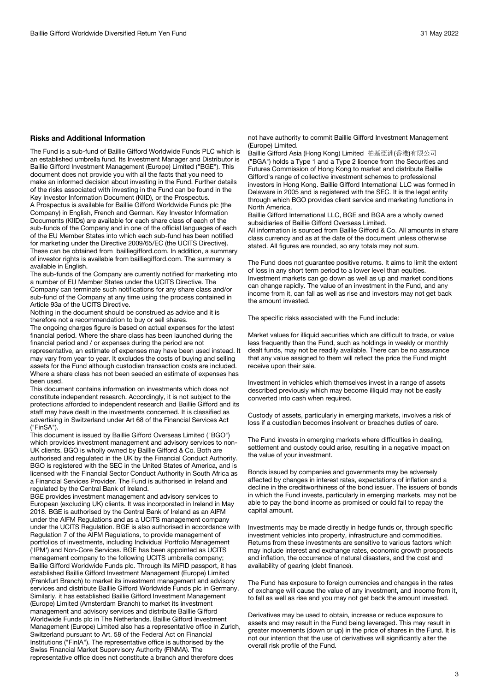#### **Risks and Additional Information**

The Fund is a sub-fund of Baillie Gifford Worldwide Funds PLC which is an established umbrella fund. Its Investment Manager and Distributor is Baillie Gifford Investment Management (Europe) Limited ("BGE"). This document does not provide you with all the facts that you need to make an informed decision about investing in the Fund. Further details of the risks associated with investing in the Fund can be found in the Key Investor Information Document (KIID), or the Prospectus. A Prospectus is available for Baillie Gifford Worldwide Funds plc (the Company) in English, French and German. Key Investor Information Documents (KIIDs) are available for each share class of each of the sub-funds of the Company and in one of the official languages of each of the EU Member States into which each sub-fund has been notified for marketing under the Directive 2009/65/EC (the UCITS Directive). These can be obtained from bailliegifford.com. In addition, a summary of investor rights is available from bailliegifford.com. The summary is available in English.

The sub-funds of the Company are currently notified for marketing into a number of EU Member States under the UCITS Directive. The Company can terminate such notifications for any share class and/or sub-fund of the Company at any time using the process contained in Article 93a of the UCITS Directive.

Nothing in the document should be construed as advice and it is therefore not a recommendation to buy or sell shares.

The ongoing charges figure is based on actual expenses for the latest financial period. Where the share class has been launched during the financial period and / or expenses during the period are not representative, an estimate of expenses may have been used instead. It may vary from year to year. It excludes the costs of buying and selling assets for the Fund although custodian transaction costs are included. Where a share class has not been seeded an estimate of expenses has been used.

This document contains information on investments which does not constitute independent research. Accordingly, it is not subject to the protections afforded to independent research and Baillie Gifford and its staff may have dealt in the investments concerned. It is classified as advertising in Switzerland under Art 68 of the Financial Services Act ("FinSA").

This document is issued by Baillie Gifford Overseas Limited ("BGO") which provides investment management and advisory services to non-UK clients. BGO is wholly owned by Baillie Gifford & Co. Both are authorised and regulated in the UK by the Financial Conduct Authority. BGO is registered with the SEC in the United States of America, and is licensed with the Financial Sector Conduct Authority in South Africa as a Financial Services Provider. The Fund is authorised in Ireland and regulated by the Central Bank of Ireland.

BGE provides investment management and advisory services to European (excluding UK) clients. It was incorporated in Ireland in May 2018. BGE is authorised by the Central Bank of Ireland as an AIFM under the AIFM Regulations and as a UCITS management company under the UCITS Regulation. BGE is also authorised in accordance with Regulation 7 of the AIFM Regulations, to provide management of portfolios of investments, including Individual Portfolio Management ('IPM') and Non-Core Services. BGE has been appointed as UCITS management company to the following UCITS umbrella company; Baillie Gifford Worldwide Funds plc. Through its MiFID passport, it has established Baillie Gifford Investment Management (Europe) Limited (Frankfurt Branch) to market its investment management and advisory services and distribute Baillie Gifford Worldwide Funds plc in Germany. Similarly, it has established Baillie Gifford Investment Management (Europe) Limited (Amsterdam Branch) to market its investment management and advisory services and distribute Baillie Gifford Worldwide Funds plc in The Netherlands. Baillie Gifford Investment Management (Europe) Limited also has a representative office in Zurich, Switzerland pursuant to Art. 58 of the Federal Act on Financial Institutions ("FinIA"). The representative office is authorised by the Swiss Financial Market Supervisory Authority (FINMA). The representative office does not constitute a branch and therefore does

not have authority to commit Baillie Gifford Investment Management (Europe) Limited.

Baillie Gifford Asia (Hong Kong) Limited 柏基亞洲(香港)有限公司 ("BGA") holds a Type 1 and a Type 2 licence from the Securities and Futures Commission of Hong Kong to market and distribute Baillie Gifford's range of collective investment schemes to professional investors in Hong Kong. Baillie Gifford International LLC was formed in Delaware in 2005 and is registered with the SEC. It is the legal entity through which BGO provides client service and marketing functions in North America.

Baillie Gifford International LLC, BGE and BGA are a wholly owned subsidiaries of Baillie Gifford Overseas Limited.

All information is sourced from Baillie Gifford & Co. All amounts in share class currency and as at the date of the document unless otherwise stated. All figures are rounded, so any totals may not sum.

The Fund does not guarantee positive returns. It aims to limit the extent of loss in any short term period to a lower level than equities. Investment markets can go down as well as up and market conditions can change rapidly. The value of an investment in the Fund, and any income from it, can fall as well as rise and investors may not get back the amount invested.

The specific risks associated with the Fund include:

Market values for illiquid securities which are difficult to trade, or value less frequently than the Fund, such as holdings in weekly or monthly dealt funds, may not be readily available. There can be no assurance that any value assigned to them will reflect the price the Fund might receive upon their sale.

Investment in vehicles which themselves invest in a range of assets described previously which may become illiquid may not be easily converted into cash when required.

Custody of assets, particularly in emerging markets, involves a risk of loss if a custodian becomes insolvent or breaches duties of care.

The Fund invests in emerging markets where difficulties in dealing, settlement and custody could arise, resulting in a negative impact on the value of your investment.

Bonds issued by companies and governments may be adversely affected by changes in interest rates, expectations of inflation and a decline in the creditworthiness of the bond issuer. The issuers of bonds in which the Fund invests, particularly in emerging markets, may not be able to pay the bond income as promised or could fail to repay the capital amount.

Investments may be made directly in hedge funds or, through specific investment vehicles into property, infrastructure and commodities. Returns from these investments are sensitive to various factors which may include interest and exchange rates, economic growth prospects and inflation, the occurrence of natural disasters, and the cost and availability of gearing (debt finance).

The Fund has exposure to foreign currencies and changes in the rates of exchange will cause the value of any investment, and income from it, to fall as well as rise and you may not get back the amount invested.

Derivatives may be used to obtain, increase or reduce exposure to assets and may result in the Fund being leveraged. This may result in greater movements (down or up) in the price of shares in the Fund. It is not our intention that the use of derivatives will significantly alter the overall risk profile of the Fund.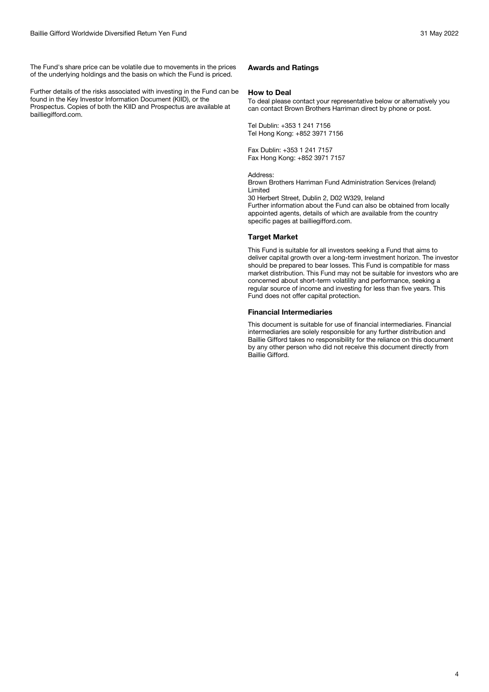The Fund's share price can be volatile due to movements in the prices of the underlying holdings and the basis on which the Fund is priced.

Further details of the risks associated with investing in the Fund can be found in the Key Investor Information Document (KIID), or the Prospectus. Copies of both the KIID and Prospectus are available at bailliegifford.com.

#### **Awards and Ratings**

#### **How to Deal**

To deal please contact your representative below or alternatively you can contact Brown Brothers Harriman direct by phone or post.

Tel Dublin: +353 1 241 7156 Tel Hong Kong: +852 3971 7156

Fax Dublin: +353 1 241 7157 Fax Hong Kong: +852 3971 7157

Address:

Brown Brothers Harriman Fund Administration Services (Ireland) Limited

30 Herbert Street, Dublin 2, D02 W329, Ireland

Further information about the Fund can also be obtained from locally appointed agents, details of which are available from the country specific pages at bailliegifford.com.

#### **Target Market**

This Fund is suitable for all investors seeking a Fund that aims to deliver capital growth over a long-term investment horizon. The investor should be prepared to bear losses. This Fund is compatible for mass market distribution. This Fund may not be suitable for investors who are concerned about short-term volatility and performance, seeking a regular source of income and investing for less than five years. This Fund does not offer capital protection.

#### **Financial Intermediaries**

This document is suitable for use of financial intermediaries. Financial intermediaries are solely responsible for any further distribution and Baillie Gifford takes no responsibility for the reliance on this document by any other person who did not receive this document directly from Baillie Gifford.